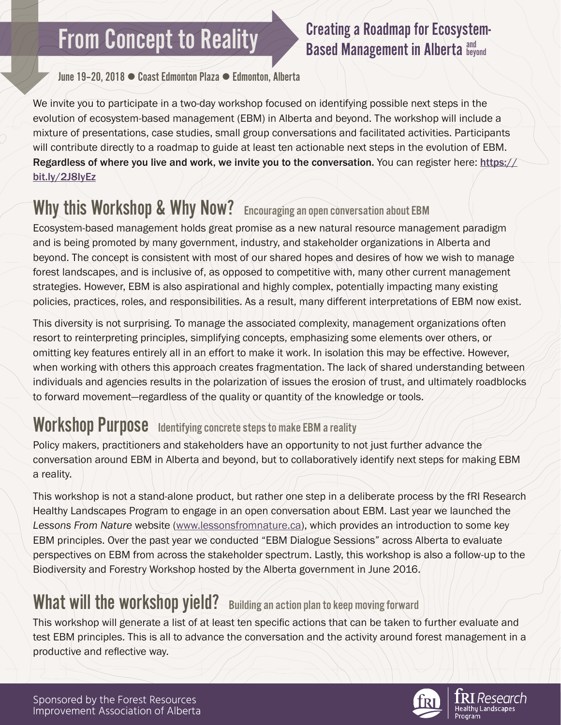# **From Concept to Reality**

#### Creating a Roadmap for Ecosystem-**Based Management in Alberta and Leyond**

June 19–20, 2018 ▯ Coast Edmonton Plaza ▯ Edmonton, Alberta

We invite you to participate in a two-day workshop focused on identifying possible next steps in the evolution of ecosystem-based management (EBM) in Alberta and beyond. The workshop will include a mixture of presentations, case studies, small group conversations and facilitated activities. Participants will contribute directly to a roadmap to guide at least ten actionable next steps in the evolution of EBM. Regardless of where you live and work, we invite you to the conversation. You can register here: https:// bit.ly/2J8IyEz

# Why this Workshop & Why Now? Encouraging an open conversation about EBM

Ecosystem-based management holds great promise as a new natural resource management paradigm and is being promoted by many government, industry, and stakeholder organizations in Alberta and beyond. The concept is consistent with most of our shared hopes and desires of how we wish to manage forest landscapes, and is inclusive of, as opposed to competitive with, many other current management strategies. However, EBM is also aspirational and highly complex, potentially impacting many existing policies, practices, roles, and responsibilities. As a result, many different interpretations of EBM now exist.

This diversity is not surprising. To manage the associated complexity, management organizations often resort to reinterpreting principles, simplifying concepts, emphasizing some elements over others, or omitting key features entirely all in an effort to make it work. In isolation this may be effective. However, when working with others this approach creates fragmentation. The lack of shared understanding between individuals and agencies results in the polarization of issues the erosion of trust, and ultimately roadblocks to forward movement—regardless of the quality or quantity of the knowledge or tools.

### Workshop Purpose Identifying concrete steps to make EBM a reality

Policy makers, practitioners and stakeholders have an opportunity to not just further advance the conversation around EBM in Alberta and beyond, but to collaboratively identify next steps for making EBM a reality.

This workshop is not a stand-alone product, but rather one step in a deliberate process by the fRI Research Healthy Landscapes Program to engage in an open conversation about EBM. Last year we launched the *Lessons From Nature* website [\(www.lessonsfromnature.ca\)](http://www.lessonsfromnature.ca), which provides an introduction to some key EBM principles. Over the past year we conducted "EBM Dialogue Sessions" across Alberta to evaluate perspectives on EBM from across the stakeholder spectrum. Lastly, this workshop is also a follow-up to the Biodiversity and Forestry Workshop hosted by the Alberta government in June 2016.

### What will the workshop yield? Building an action plan to keep moving forward

This workshop will generate a list of at least ten specific actions that can be taken to further evaluate and test EBM principles. This is all to advance the conversation and the activity around forest management in a productive and reflective way.